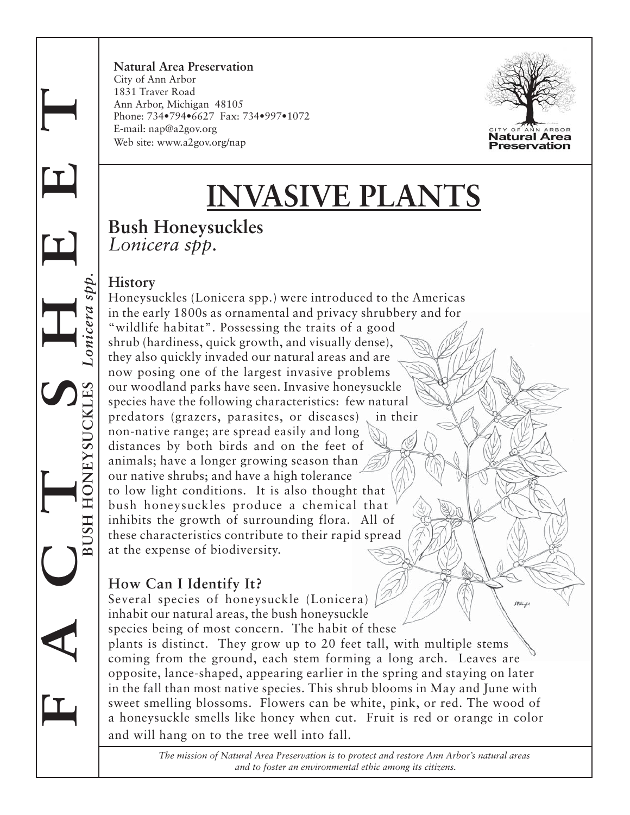**Natural Area Preservation** City of Ann Arbor 1831 Traver Road Ann Arbor, Michigan 48105 Phone: 734•794•6627 Fax: 734•997•1072 E-mail: nap@a2gov.org Web site: www.a2gov.org/nap



# **INVASIVE PLANTS**

## **Bush Honeysuckles** *Lonicera spp.*

#### **History**

**F A C T S H E E T**

 $\mathbf I$ 

 $\mathbf T$ 

 **BUSH HONEYSUCKLES** *Lonicera spp.*

USH HONEYSUCKLES

Lonicera spp

Honeysuckles (Lonicera spp.) were introduced to the Americas in the early 1800s as ornamental and privacy shrubbery and for "wildlife habitat". Possessing the traits of a good shrub (hardiness, quick growth, and visually dense), they also quickly invaded our natural areas and are now posing one of the largest invasive problems our woodland parks have seen. Invasive honeysuckle species have the following characteristics: few natural predators (grazers, parasites, or diseases) in their non-native range; are spread easily and long distances by both birds and on the feet of animals; have a longer growing season than our native shrubs; and have a high tolerance to low light conditions. It is also thought that bush honeysuckles produce a chemical that inhibits the growth of surrounding flora. All of these characteristics contribute to their rapid spread at the expense of biodiversity.

## **How Can I Identify It?**

Several species of honeysuckle (Lonicera) .<br>Political of inhabit our natural areas, the bush honeysuckle species being of most concern. The habit of these plants is distinct. They grow up to 20 feet tall, with multiple stems coming from the ground, each stem forming a long arch. Leaves are opposite, lance-shaped, appearing earlier in the spring and staying on later in the fall than most native species. This shrub blooms in May and June with sweet smelling blossoms. Flowers can be white, pink, or red. The wood of a honeysuckle smells like honey when cut. Fruit is red or orange in color and will hang on to the tree well into fall.

> *The mission of Natural Area Preservation is to protect and restore Ann Arbor's natural areas and to foster an environmental ethic among its citizens.*